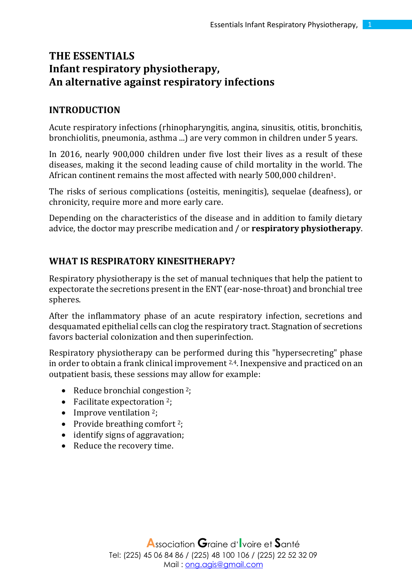# **THE ESSENTIALS Infant respiratory physiotherapy, An alternative against respiratory infections**

#### **INTRODUCTION**

Acute respiratory infections (rhinopharyngitis, angina, sinusitis, otitis, bronchitis, bronchiolitis, pneumonia, asthma ...) are very common in children under 5 years.

In 2016, nearly 900,000 children under five lost their lives as a result of these diseases, making it the second leading cause of child mortality in the world. The African continent remains the most affected with nearly 500,000 children1.

The risks of serious complications (osteitis, meningitis), sequelae (deafness), or chronicity, require more and more early care.

Depending on the characteristics of the disease and in addition to family dietary advice, the doctor may prescribe medication and / or **respiratory physiotherapy**.

#### **WHAT IS RESPIRATORY KINESITHERAPY?**

Respiratory physiotherapy is the set of manual techniques that help the patient to expectorate the secretions present in the ENT (ear-nose-throat) and bronchial tree spheres.

After the inflammatory phase of an acute respiratory infection, secretions and desquamated epithelial cells can clog the respiratory tract. Stagnation of secretions favors bacterial colonization and then superinfection.

Respiratory physiotherapy can be performed during this "hypersecreting" phase in order to obtain a frank clinical improvement 2,4. Inexpensive and practiced on an outpatient basis, these sessions may allow for example:

- Reduce bronchial congestion <sup>2</sup>;
- Facilitate expectoration <sup>2</sup>;
- Improve ventilation  $2$ ;
- Provide breathing comfort  $2$ ;
- identify signs of aggravation;
- Reduce the recovery time.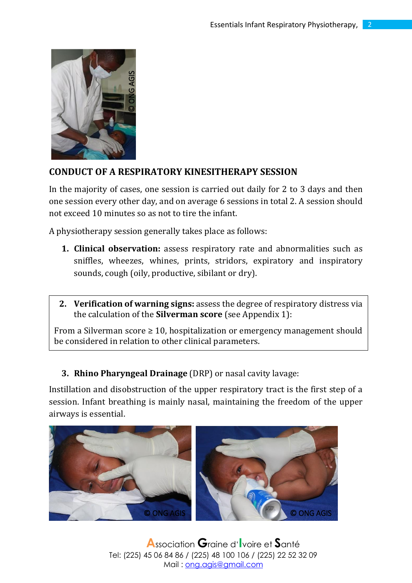

### **CONDUCT OF A RESPIRATORY KINESITHERAPY SESSION**

In the majority of cases, one session is carried out daily for 2 to 3 days and then one session every other day, and on average 6 sessions in total 2. A session should not exceed 10 minutes so as not to tire the infant.

A physiotherapy session generally takes place as follows:

- **1. Clinical observation:** assess respiratory rate and abnormalities such as sniffles, wheezes, whines, prints, stridors, expiratory and inspiratory sounds, cough (oily, productive, sibilant or dry).
- **2. Verification of warning signs:** assess the degree of respiratory distress via the calculation of the **Silverman score** (see Appendix 1):

From a Silverman score  $\geq 10$ , hospitalization or emergency management should be considered in relation to other clinical parameters.

**3. Rhino Pharyngeal Drainage** (DRP) or nasal cavity lavage:

Instillation and disobstruction of the upper respiratory tract is the first step of a session. Infant breathing is mainly nasal, maintaining the freedom of the upper airways is essential.



**A**ssociation **G**raine <sup>d</sup>'**I**voire et **S**anté Tel: (225) 45 06 84 86 / (225) 48 100 106 / (225) 22 52 32 09 Mail : [ong.agis@gmail.com](mailto:ong.agis@gmail.com)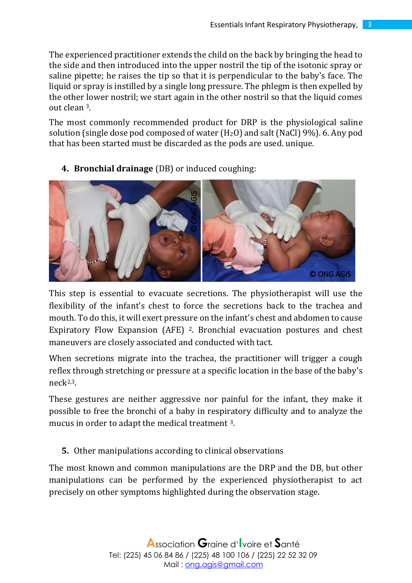The experienced practitioner extends the child on the back by bringing the head to the side and then introduced into the upper nostril the tip of the isotonic spray or saline pipette; he raises the tip so that it is perpendicular to the baby's face. The liquid or spray is instilled by a single long pressure. The phlegm is then expelled by the other lower nostril; we start again in the other nostril so that the liquid comes out clean 3.

The most commonly recommended product for DRP is the physiological saline solution (single dose pod composed of water  $(H<sub>2</sub>O)$  and salt (NaCl) 9%). 6. Any pod that has been started must be discarded as the pods are used. unique.



**4. Bronchial drainage** (DB) or induced coughing:

This step is essential to evacuate secretions. The physiotherapist will use the flexibility of the infant's chest to force the secretions back to the trachea and mouth. To do this, it will exert pressure on the infant's chest and abdomen to cause Expiratory Flow Expansion (AFE) 2. Bronchial evacuation postures and chest maneuvers are closely associated and conducted with tact.

When secretions migrate into the trachea, the practitioner will trigger a cough reflex through stretching or pressure at a specific location in the base of the baby's neck2,3.

These gestures are neither aggressive nor painful for the infant, they make it possible to free the bronchi of a baby in respiratory difficulty and to analyze the mucus in order to adapt the medical treatment 3.

**5.** Other manipulations according to clinical observations

The most known and common manipulations are the DRP and the DB, but other manipulations can be performed by the experienced physiotherapist to act precisely on other symptoms highlighted during the observation stage.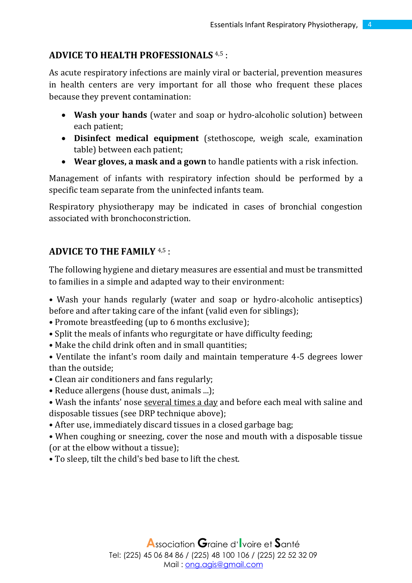## **ADVICE TO HEALTH PROFESSIONALS** 4,5 :

As acute respiratory infections are mainly viral or bacterial, prevention measures in health centers are very important for all those who frequent these places because they prevent contamination:

- **Wash your hands** (water and soap or hydro-alcoholic solution) between each patient;
- **Disinfect medical equipment** (stethoscope, weigh scale, examination table) between each patient;
- **Wear gloves, a mask and a gown** to handle patients with a risk infection.

Management of infants with respiratory infection should be performed by a specific team separate from the uninfected infants team.

Respiratory physiotherapy may be indicated in cases of bronchial congestion associated with bronchoconstriction.

## **ADVICE TO THE FAMILY** 4,5 :

The following hygiene and dietary measures are essential and must be transmitted to families in a simple and adapted way to their environment:

• Wash your hands regularly (water and soap or hydro-alcoholic antiseptics) before and after taking care of the infant (valid even for siblings);

- Promote breastfeeding (up to 6 months exclusive);
- Split the meals of infants who regurgitate or have difficulty feeding;
- Make the child drink often and in small quantities;
- Ventilate the infant's room daily and maintain temperature 4-5 degrees lower than the outside;
- Clean air conditioners and fans regularly;
- Reduce allergens (house dust, animals ...);
- Wash the infants' nose several times a day and before each meal with saline and disposable tissues (see DRP technique above);
- After use, immediately discard tissues in a closed garbage bag;

• When coughing or sneezing, cover the nose and mouth with a disposable tissue (or at the elbow without a tissue);

• To sleep, tilt the child's bed base to lift the chest.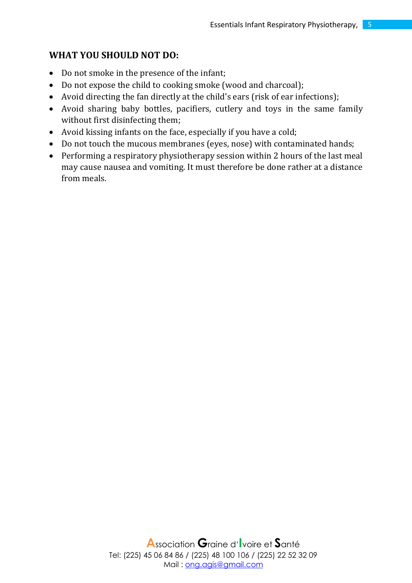### **WHAT YOU SHOULD NOT DO:**

- Do not smoke in the presence of the infant;
- Do not expose the child to cooking smoke (wood and charcoal);
- Avoid directing the fan directly at the child's ears (risk of ear infections);
- Avoid sharing baby bottles, pacifiers, cutlery and toys in the same family without first disinfecting them;
- Avoid kissing infants on the face, especially if you have a cold;
- Do not touch the mucous membranes (eyes, nose) with contaminated hands;
- Performing a respiratory physiotherapy session within 2 hours of the last meal may cause nausea and vomiting. It must therefore be done rather at a distance from meals.